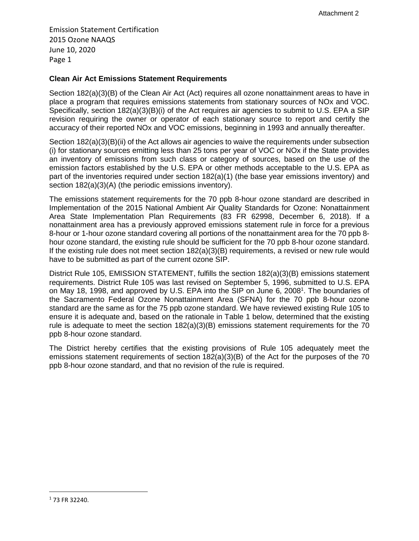Emission Statement Certification 2015 Ozone NAAQS June 10, 2020 Page 1

## **Clean Air Act Emissions Statement Requirements**

Section 182(a)(3)(B) of the Clean Air Act (Act) requires all ozone nonattainment areas to have in place a program that requires emissions statements from stationary sources of NOx and VOC. Specifically, section 182(a)(3)(B)(i) of the Act requires air agencies to submit to U.S. EPA a SIP revision requiring the owner or operator of each stationary source to report and certify the accuracy of their reported NOx and VOC emissions, beginning in 1993 and annually thereafter.

Section 182(a)(3)(B)(ii) of the Act allows air agencies to waive the requirements under subsection (i) for stationary sources emitting less than 25 tons per year of VOC or NOx if the State provides an inventory of emissions from such class or category of sources, based on the use of the emission factors established by the U.S. EPA or other methods acceptable to the U.S. EPA as part of the inventories required under section 182(a)(1) (the base year emissions inventory) and section  $182(a)(3)(A)$  (the periodic emissions inventory).

The emissions statement requirements for the 70 ppb 8-hour ozone standard are described in Implementation of the 2015 National Ambient Air Quality Standards for Ozone: Nonattainment Area State Implementation Plan Requirements (83 FR 62998, December 6, 2018). If a nonattainment area has a previously approved emissions statement rule in force for a previous 8-hour or 1-hour ozone standard covering all portions of the nonattainment area for the 70 ppb 8 hour ozone standard, the existing rule should be sufficient for the 70 ppb 8-hour ozone standard. If the existing rule does not meet section  $182(a)(3)(B)$  requirements, a revised or new rule would have to be submitted as part of the current ozone SIP.

District Rule 105, EMISSION STATEMENT, fulfills the section 182(a)(3)(B) emissions statement requirements. District Rule 105 was last revised on September 5, 1996, submitted to U.S. EPA on May 18, 1998, and approved by U.S. EPA into the SIP on June 6, 2008<sup>1</sup>. The boundaries of the Sacramento Federal Ozone Nonattainment Area (SFNA) for the 70 ppb 8-hour ozone standard are the same as for the 75 ppb ozone standard. We have reviewed existing Rule 105 to ensure it is adequate and, based on the rationale in Table 1 below, determined that the existing rule is adequate to meet the section 182(a)(3)(B) emissions statement requirements for the 70 ppb 8-hour ozone standard.

The District hereby certifies that the existing provisions of Rule 105 adequately meet the emissions statement requirements of section 182(a)(3)(B) of the Act for the purposes of the 70 ppb 8-hour ozone standard, and that no revision of the rule is required.

<sup>1</sup> 73 FR 32240.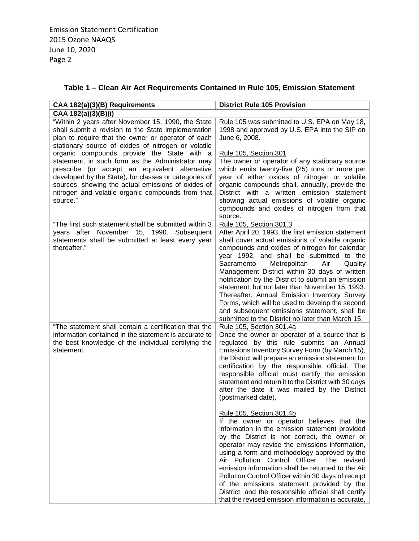|  | Table 1 – Clean Air Act Requirements Contained in Rule 105, Emission Statement |
|--|--------------------------------------------------------------------------------|
|--|--------------------------------------------------------------------------------|

| CAA 182(a)(3)(B) Requirements                                                                                                                                                                                                                                                      | <b>District Rule 105 Provision</b>                                                                                                                                                                                                                                                                                                                                                                                                                                                                                                                                                                                                                |
|------------------------------------------------------------------------------------------------------------------------------------------------------------------------------------------------------------------------------------------------------------------------------------|---------------------------------------------------------------------------------------------------------------------------------------------------------------------------------------------------------------------------------------------------------------------------------------------------------------------------------------------------------------------------------------------------------------------------------------------------------------------------------------------------------------------------------------------------------------------------------------------------------------------------------------------------|
| CAA 182(a)(3)(B)(i)                                                                                                                                                                                                                                                                |                                                                                                                                                                                                                                                                                                                                                                                                                                                                                                                                                                                                                                                   |
| "Within 2 years after November 15, 1990, the State<br>shall submit a revision to the State implementation<br>plan to require that the owner or operator of each<br>stationary source of oxides of nitrogen or volatile<br>organic compounds provide the State with a               | Rule 105 was submitted to U.S. EPA on May 18,<br>1998 and approved by U.S. EPA into the SIP on<br>June 6, 2008.<br>Rule 105, Section 301                                                                                                                                                                                                                                                                                                                                                                                                                                                                                                          |
| statement, in such form as the Administrator may<br>prescribe (or accept an equivalent alternative<br>developed by the State), for classes or categories of<br>sources, showing the actual emissions of oxides of<br>nitrogen and volatile organic compounds from that<br>source." | The owner or operator of any stationary source<br>which emits twenty-five (25) tons or more per<br>year of either oxides of nitrogen or volatile<br>organic compounds shall, annually, provide the<br>District with a written emission statement<br>showing actual emissions of volatile organic<br>compounds and oxides of nitrogen from that<br>source.                                                                                                                                                                                                                                                                                         |
| "The first such statement shall be submitted within 3<br>years after November 15, 1990. Subsequent<br>statements shall be submitted at least every year<br>thereafter."                                                                                                            | Rule 105, Section 301.3<br>After April 20, 1993, the first emission statement<br>shall cover actual emissions of volatile organic<br>compounds and oxides of nitrogen for calendar<br>year 1992, and shall be submitted to the<br>Sacramento<br>Metropolitan<br>Air<br>Quality<br>Management District within 30 days of written<br>notification by the District to submit an emission<br>statement, but not later than November 15, 1993.<br>Thereafter, Annual Emission Inventory Survey<br>Forms, which will be used to develop the second<br>and subsequent emissions statement, shall be<br>submitted to the District no later than March 15. |
| "The statement shall contain a certification that the<br>information contained in the statement is accurate to<br>the best knowledge of the individual certifying the<br>statement.                                                                                                | Rule 105, Section 301.4a<br>Once the owner or operator of a source that is<br>regulated by this rule submits an Annual<br>Emissions Inventory Survey Form (by March 15),<br>the District will prepare an emission statement for<br>certification by the responsible official. The<br>responsible official must certify the emission<br>statement and return it to the District with 30 days<br>after the date it was mailed by the District<br>(postmarked date).                                                                                                                                                                                 |
|                                                                                                                                                                                                                                                                                    | <u>Rule 105, Section 301.4b</u><br>If the owner or operator believes that the<br>information in the emission statement provided<br>by the District is not correct, the owner or<br>operator may revise the emissions information,<br>using a form and methodology approved by the<br>Air Pollution Control Officer. The revised<br>emission information shall be returned to the Air<br>Pollution Control Officer within 30 days of receipt<br>of the emissions statement provided by the<br>District, and the responsible official shall certify<br>that the revised emission information is accurate,                                           |